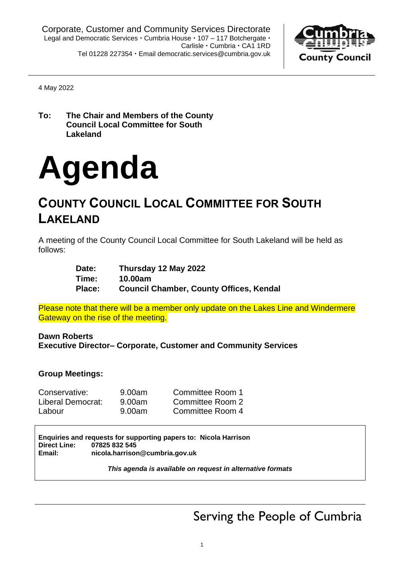

4 May 2022

**To: The Chair and Members of the County Council Local Committee for South Lakeland**

# **Agenda**

# **COUNTY COUNCIL LOCAL COMMITTEE FOR SOUTH LAKELAND**

A meeting of the County Council Local Committee for South Lakeland will be held as follows:

| Date:  | Thursday 12 May 2022                           |
|--------|------------------------------------------------|
| Time:  | 10.00am                                        |
| Place: | <b>Council Chamber, County Offices, Kendal</b> |

Please note that there will be a member only update on the Lakes Line and Windermere Gateway on the rise of the meeting.

**Dawn Roberts Executive Director– Corporate, Customer and Community Services**

#### **Group Meetings:**

| Conservative:     | 9.00am | Committee Room 1 |
|-------------------|--------|------------------|
| Liberal Democrat: | 9.00am | Committee Room 2 |
| Labour            | 9.00am | Committee Room 4 |

**Enquiries and requests for supporting papers to: Nicola Harrison Direct Line: 07825 832 545 Email: nicola.harrison@cumbria.gov.uk**

*This agenda is available on request in alternative formats*

Serving the People of Cumbria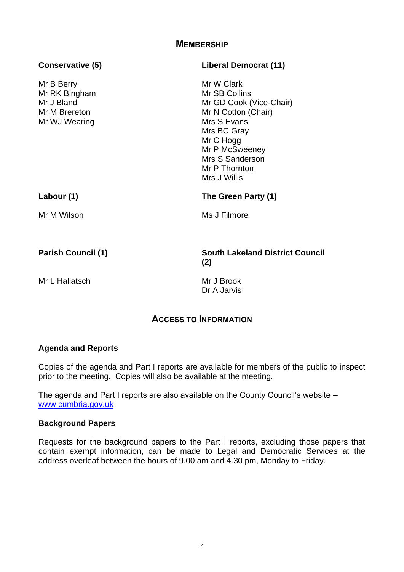#### **MEMBERSHIP**

| Conservative (5)                                                            | <b>Liberal Democrat (11)</b>                                                                                                                                                                   |  |
|-----------------------------------------------------------------------------|------------------------------------------------------------------------------------------------------------------------------------------------------------------------------------------------|--|
| Mr B Berry<br>Mr RK Bingham<br>Mr J Bland<br>Mr M Brereton<br>Mr WJ Wearing | Mr W Clark<br>Mr SB Collins<br>Mr GD Cook (Vice-Chair)<br>Mr N Cotton (Chair)<br>Mrs S Evans<br>Mrs BC Gray<br>Mr C Hogg<br>Mr P McSweeney<br>Mrs S Sanderson<br>Mr P Thornton<br>Mrs J Willis |  |
| Labour (1)                                                                  | The Green Party (1)                                                                                                                                                                            |  |
| Mr M Wilson                                                                 | Ms J Filmore                                                                                                                                                                                   |  |
| <b>Parish Council (1)</b>                                                   | <b>South Lakeland District Council</b><br>(2)                                                                                                                                                  |  |
| Mr L Hallatsch                                                              | Mr J Brook<br>Dr A Jarvis                                                                                                                                                                      |  |

# **ACCESS TO INFORMATION**

#### **Agenda and Reports**

Copies of the agenda and Part I reports are available for members of the public to inspect prior to the meeting. Copies will also be available at the meeting.

The agenda and Part I reports are also available on the County Council's website – [www.cumbria.gov.uk](http://www.cumbria.gov.uk/)

#### **Background Papers**

Requests for the background papers to the Part I reports, excluding those papers that contain exempt information, can be made to Legal and Democratic Services at the address overleaf between the hours of 9.00 am and 4.30 pm, Monday to Friday.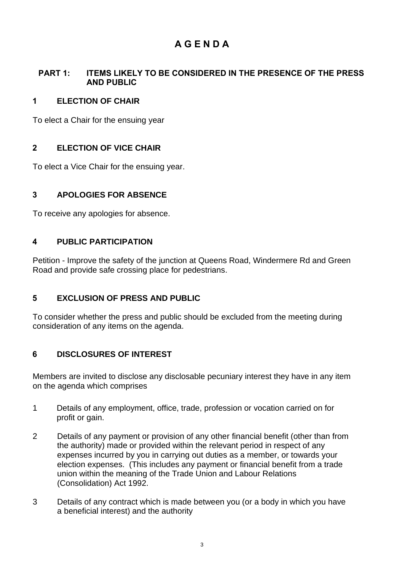# **A G E N D A**

#### **PART 1: ITEMS LIKELY TO BE CONSIDERED IN THE PRESENCE OF THE PRESS AND PUBLIC**

### **1 ELECTION OF CHAIR**

To elect a Chair for the ensuing year

# **2 ELECTION OF VICE CHAIR**

To elect a Vice Chair for the ensuing year.

# **3 APOLOGIES FOR ABSENCE**

To receive any apologies for absence.

# **4 PUBLIC PARTICIPATION**

Petition - Improve the safety of the junction at Queens Road, Windermere Rd and Green Road and provide safe crossing place for pedestrians.

# **5 EXCLUSION OF PRESS AND PUBLIC**

To consider whether the press and public should be excluded from the meeting during consideration of any items on the agenda.

# **6 DISCLOSURES OF INTEREST**

Members are invited to disclose any disclosable pecuniary interest they have in any item on the agenda which comprises

- 1 Details of any employment, office, trade, profession or vocation carried on for profit or gain.
- 2 Details of any payment or provision of any other financial benefit (other than from the authority) made or provided within the relevant period in respect of any expenses incurred by you in carrying out duties as a member, or towards your election expenses. (This includes any payment or financial benefit from a trade union within the meaning of the Trade Union and Labour Relations (Consolidation) Act 1992.
- 3 Details of any contract which is made between you (or a body in which you have a beneficial interest) and the authority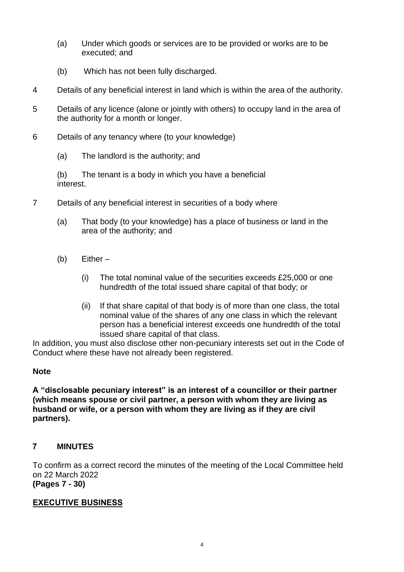- (a) Under which goods or services are to be provided or works are to be executed; and
- (b) Which has not been fully discharged.
- 4 Details of any beneficial interest in land which is within the area of the authority.
- 5 Details of any licence (alone or jointly with others) to occupy land in the area of the authority for a month or longer.
- 6 Details of any tenancy where (to your knowledge)
	- (a) The landlord is the authority; and

(b) The tenant is a body in which you have a beneficial interest.

- 7 Details of any beneficial interest in securities of a body where
	- (a) That body (to your knowledge) has a place of business or land in the area of the authority; and
	- (b) Either
		- (i) The total nominal value of the securities exceeds £25,000 or one hundredth of the total issued share capital of that body; or
		- (ii) If that share capital of that body is of more than one class, the total nominal value of the shares of any one class in which the relevant person has a beneficial interest exceeds one hundredth of the total issued share capital of that class.

In addition, you must also disclose other non-pecuniary interests set out in the Code of Conduct where these have not already been registered.

#### **Note**

**A "disclosable pecuniary interest" is an interest of a councillor or their partner (which means spouse or civil partner, a person with whom they are living as husband or wife, or a person with whom they are living as if they are civil partners).**

### **7 MINUTES**

To confirm as a correct record the minutes of the meeting of the Local Committee held on 22 March 2022 **(Pages 7 - 30)**

#### **EXECUTIVE BUSINESS**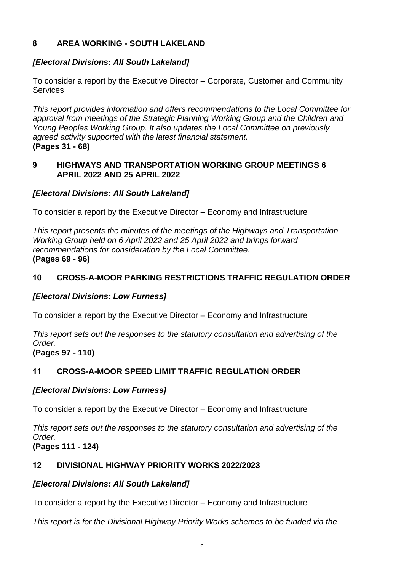# **8 AREA WORKING - SOUTH LAKELAND**

# *[Electoral Divisions: All South Lakeland]*

To consider a report by the Executive Director – Corporate, Customer and Community **Services** 

*This report provides information and offers recommendations to the Local Committee for approval from meetings of the Strategic Planning Working Group and the Children and Young Peoples Working Group. It also updates the Local Committee on previously agreed activity supported with the latest financial statement.* **(Pages 31 - 68)**

#### **9 HIGHWAYS AND TRANSPORTATION WORKING GROUP MEETINGS 6 APRIL 2022 AND 25 APRIL 2022**

# *[Electoral Divisions: All South Lakeland]*

To consider a report by the Executive Director – Economy and Infrastructure

*This report presents the minutes of the meetings of the Highways and Transportation Working Group held on 6 April 2022 and 25 April 2022 and brings forward recommendations for consideration by the Local Committee.* **(Pages 69 - 96)**

# **10 CROSS-A-MOOR PARKING RESTRICTIONS TRAFFIC REGULATION ORDER**

# *[Electoral Divisions: Low Furness]*

To consider a report by the Executive Director – Economy and Infrastructure

*This report sets out the responses to the statutory consultation and advertising of the Order.*

**(Pages 97 - 110)**

# **11 CROSS-A-MOOR SPEED LIMIT TRAFFIC REGULATION ORDER**

# *[Electoral Divisions: Low Furness]*

To consider a report by the Executive Director – Economy and Infrastructure

*This report sets out the responses to the statutory consultation and advertising of the Order.* **(Pages 111 - 124)**

# **12 DIVISIONAL HIGHWAY PRIORITY WORKS 2022/2023**

# *[Electoral Divisions: All South Lakeland]*

To consider a report by the Executive Director – Economy and Infrastructure

*This report is for the Divisional Highway Priority Works schemes to be funded via the*